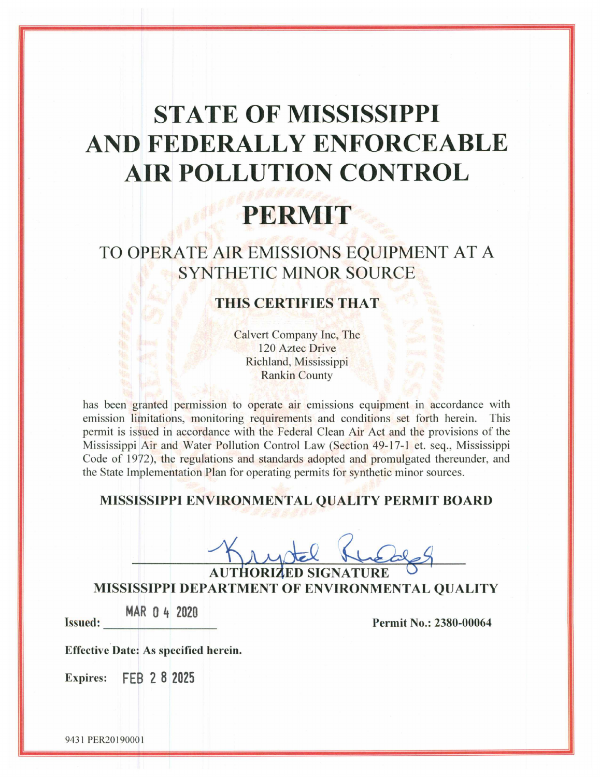# **STATE OF MISSISSIPPI** AND FEDERALLY ENFORCEABLE **AIR POLLUTION CONTROL**

# PERMIT

# TO OPERATE AIR EMISSIONS EQUIPMENT AT A **SYNTHETIC MINOR SOURCE**

# **THIS CERTIFIES THAT**

Calvert Company Inc, The 120 Aztec Drive Richland, Mississippi **Rankin County** 

has been granted permission to operate air emissions equipment in accordance with emission limitations, monitoring requirements and conditions set forth herein. This permit is issued in accordance with the Federal Clean Air Act and the provisions of the Mississippi Air and Water Pollution Control Law (Section 49-17-1 et. seg., Mississippi Code of 1972), the regulations and standards adopted and promulgated thereunder, and the State Implementation Plan for operating permits for synthetic minor sources.

## MISSISSIPPI ENVIRONMENTAL QUALITY PERMIT BOARD

MISSISSIPPI DEPARTMENT OF ENVIRONMENTAL QUALITY

MAR 0 4 2020 **Issued:** 

Permit No.: 2380-00064

**Effective Date: As specified herein.** 

**Expires:** FEB 2 8 2025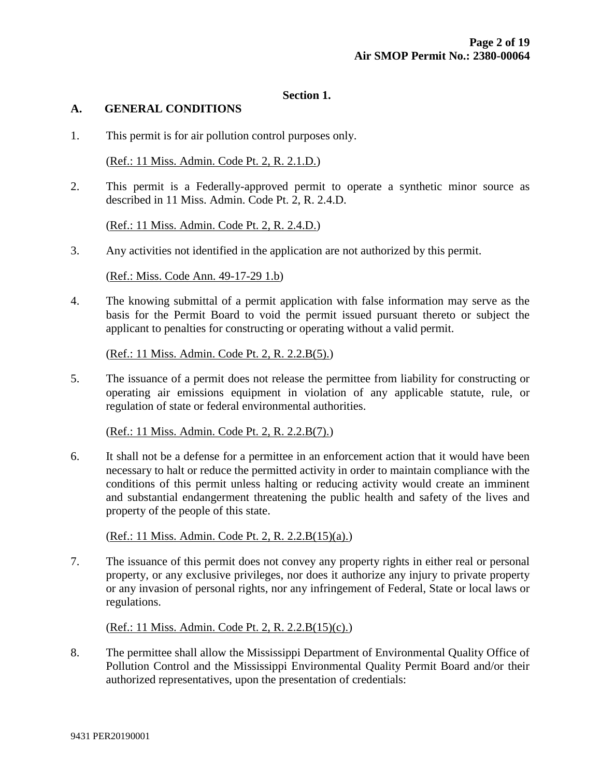#### **Section 1.**

#### **A. GENERAL CONDITIONS**

1. This permit is for air pollution control purposes only.

(Ref.: 11 Miss. Admin. Code Pt. 2, R. 2.1.D.)

2. This permit is a Federally-approved permit to operate a synthetic minor source as described in 11 Miss. Admin. Code Pt. 2, R. 2.4.D.

(Ref.: 11 Miss. Admin. Code Pt. 2, R. 2.4.D.)

3. Any activities not identified in the application are not authorized by this permit.

(Ref.: Miss. Code Ann. 49-17-29 1.b)

4. The knowing submittal of a permit application with false information may serve as the basis for the Permit Board to void the permit issued pursuant thereto or subject the applicant to penalties for constructing or operating without a valid permit.

(Ref.: 11 Miss. Admin. Code Pt. 2, R. 2.2.B(5).)

5. The issuance of a permit does not release the permittee from liability for constructing or operating air emissions equipment in violation of any applicable statute, rule, or regulation of state or federal environmental authorities.

(Ref.: 11 Miss. Admin. Code Pt. 2, R. 2.2.B(7).)

6. It shall not be a defense for a permittee in an enforcement action that it would have been necessary to halt or reduce the permitted activity in order to maintain compliance with the conditions of this permit unless halting or reducing activity would create an imminent and substantial endangerment threatening the public health and safety of the lives and property of the people of this state.

(Ref.: 11 Miss. Admin. Code Pt. 2, R. 2.2.B(15)(a).)

7. The issuance of this permit does not convey any property rights in either real or personal property, or any exclusive privileges, nor does it authorize any injury to private property or any invasion of personal rights, nor any infringement of Federal, State or local laws or regulations.

(Ref.: 11 Miss. Admin. Code Pt. 2, R. 2.2.B(15)(c).)

8. The permittee shall allow the Mississippi Department of Environmental Quality Office of Pollution Control and the Mississippi Environmental Quality Permit Board and/or their authorized representatives, upon the presentation of credentials: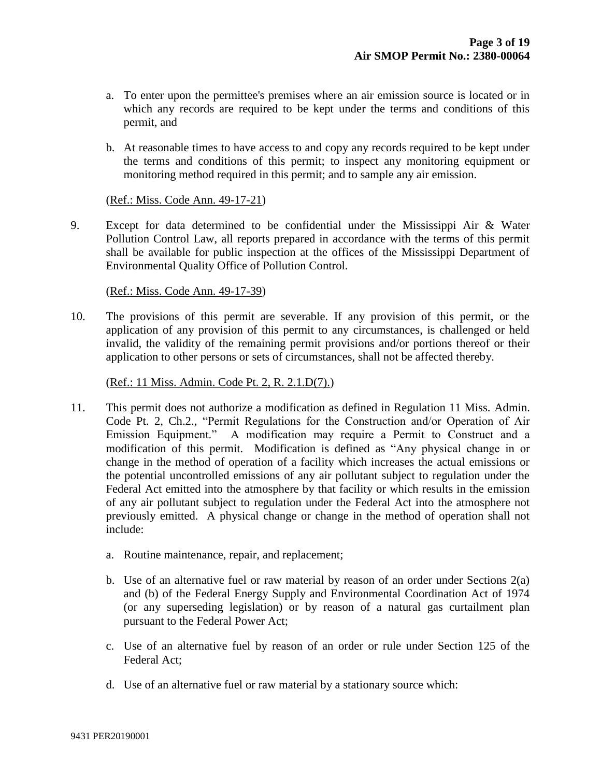- a. To enter upon the permittee's premises where an air emission source is located or in which any records are required to be kept under the terms and conditions of this permit, and
- b. At reasonable times to have access to and copy any records required to be kept under the terms and conditions of this permit; to inspect any monitoring equipment or monitoring method required in this permit; and to sample any air emission.

#### (Ref.: Miss. Code Ann. 49-17-21)

9. Except for data determined to be confidential under the Mississippi Air & Water Pollution Control Law, all reports prepared in accordance with the terms of this permit shall be available for public inspection at the offices of the Mississippi Department of Environmental Quality Office of Pollution Control.

#### (Ref.: Miss. Code Ann. 49-17-39)

10. The provisions of this permit are severable. If any provision of this permit, or the application of any provision of this permit to any circumstances, is challenged or held invalid, the validity of the remaining permit provisions and/or portions thereof or their application to other persons or sets of circumstances, shall not be affected thereby.

#### (Ref.: 11 Miss. Admin. Code Pt. 2, R. 2.1.D(7).)

- 11. This permit does not authorize a modification as defined in Regulation 11 Miss. Admin. Code Pt. 2, Ch.2., "Permit Regulations for the Construction and/or Operation of Air Emission Equipment." A modification may require a Permit to Construct and a modification of this permit. Modification is defined as "Any physical change in or change in the method of operation of a facility which increases the actual emissions or the potential uncontrolled emissions of any air pollutant subject to regulation under the Federal Act emitted into the atmosphere by that facility or which results in the emission of any air pollutant subject to regulation under the Federal Act into the atmosphere not previously emitted. A physical change or change in the method of operation shall not include:
	- a. Routine maintenance, repair, and replacement;
	- b. Use of an alternative fuel or raw material by reason of an order under Sections 2(a) and (b) of the Federal Energy Supply and Environmental Coordination Act of 1974 (or any superseding legislation) or by reason of a natural gas curtailment plan pursuant to the Federal Power Act;
	- c. Use of an alternative fuel by reason of an order or rule under Section 125 of the Federal Act;
	- d. Use of an alternative fuel or raw material by a stationary source which: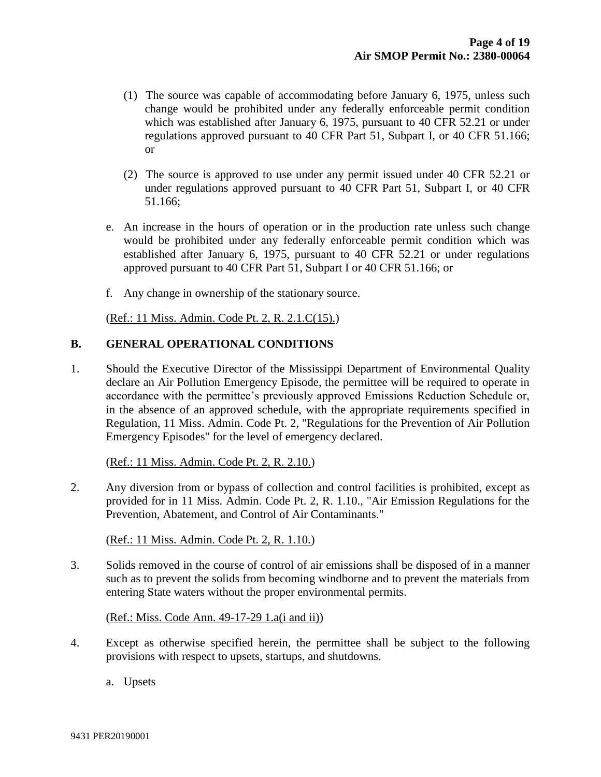- (1) The source was capable of accommodating before January 6, 1975, unless such change would be prohibited under any federally enforceable permit condition which was established after January 6, 1975, pursuant to 40 CFR 52.21 or under regulations approved pursuant to 40 CFR Part 51, Subpart I, or 40 CFR 51.166; or
- (2) The source is approved to use under any permit issued under 40 CFR 52.21 or under regulations approved pursuant to 40 CFR Part 51, Subpart I, or 40 CFR 51.166;
- e. An increase in the hours of operation or in the production rate unless such change would be prohibited under any federally enforceable permit condition which was established after January 6, 1975, pursuant to 40 CFR 52.21 or under regulations approved pursuant to 40 CFR Part 51, Subpart I or 40 CFR 51.166; or
- f. Any change in ownership of the stationary source.

(Ref.: 11 Miss. Admin. Code Pt. 2, R. 2.1.C(15).)

#### **B. GENERAL OPERATIONAL CONDITIONS**

1. Should the Executive Director of the Mississippi Department of Environmental Quality declare an Air Pollution Emergency Episode, the permittee will be required to operate in accordance with the permittee's previously approved Emissions Reduction Schedule or, in the absence of an approved schedule, with the appropriate requirements specified in Regulation, 11 Miss. Admin. Code Pt. 2, "Regulations for the Prevention of Air Pollution Emergency Episodes" for the level of emergency declared.

#### (Ref.: 11 Miss. Admin. Code Pt. 2, R. 2.10.)

2. Any diversion from or bypass of collection and control facilities is prohibited, except as provided for in 11 Miss. Admin. Code Pt. 2, R. 1.10., "Air Emission Regulations for the Prevention, Abatement, and Control of Air Contaminants."

(Ref.: 11 Miss. Admin. Code Pt. 2, R. 1.10.)

3. Solids removed in the course of control of air emissions shall be disposed of in a manner such as to prevent the solids from becoming windborne and to prevent the materials from entering State waters without the proper environmental permits.

(Ref.: Miss. Code Ann. 49-17-29 1.a(i and ii))

- 4. Except as otherwise specified herein, the permittee shall be subject to the following provisions with respect to upsets, startups, and shutdowns.
	- a. Upsets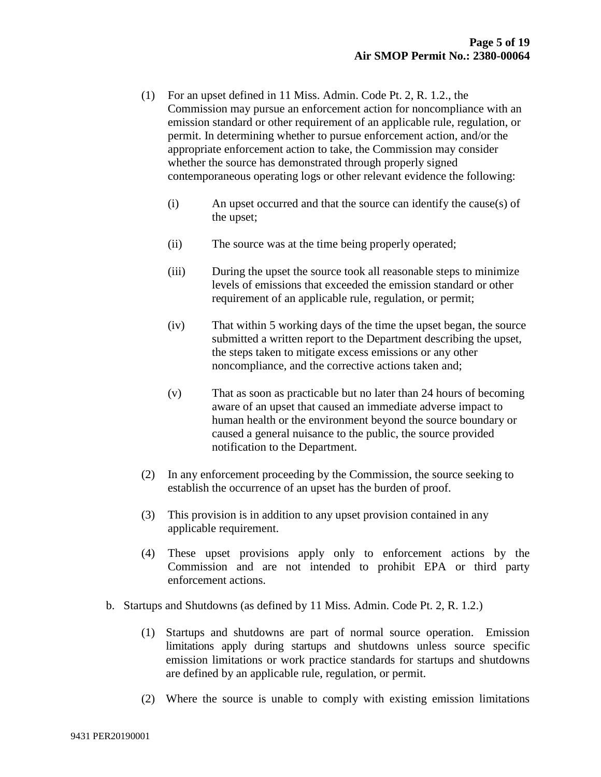- (1) For an upset defined in 11 Miss. Admin. Code Pt. 2, R. 1.2., the Commission may pursue an enforcement action for noncompliance with an emission standard or other requirement of an applicable rule, regulation, or permit. In determining whether to pursue enforcement action, and/or the appropriate enforcement action to take, the Commission may consider whether the source has demonstrated through properly signed contemporaneous operating logs or other relevant evidence the following:
	- (i) An upset occurred and that the source can identify the cause(s) of the upset;
	- (ii) The source was at the time being properly operated;
	- (iii) During the upset the source took all reasonable steps to minimize levels of emissions that exceeded the emission standard or other requirement of an applicable rule, regulation, or permit;
	- (iv) That within 5 working days of the time the upset began, the source submitted a written report to the Department describing the upset, the steps taken to mitigate excess emissions or any other noncompliance, and the corrective actions taken and;
	- (v) That as soon as practicable but no later than 24 hours of becoming aware of an upset that caused an immediate adverse impact to human health or the environment beyond the source boundary or caused a general nuisance to the public, the source provided notification to the Department.
- (2) In any enforcement proceeding by the Commission, the source seeking to establish the occurrence of an upset has the burden of proof.
- (3) This provision is in addition to any upset provision contained in any applicable requirement.
- (4) These upset provisions apply only to enforcement actions by the Commission and are not intended to prohibit EPA or third party enforcement actions.
- b. Startups and Shutdowns (as defined by 11 Miss. Admin. Code Pt. 2, R. 1.2.)
	- (1) Startups and shutdowns are part of normal source operation. Emission limitations apply during startups and shutdowns unless source specific emission limitations or work practice standards for startups and shutdowns are defined by an applicable rule, regulation, or permit.
	- (2) Where the source is unable to comply with existing emission limitations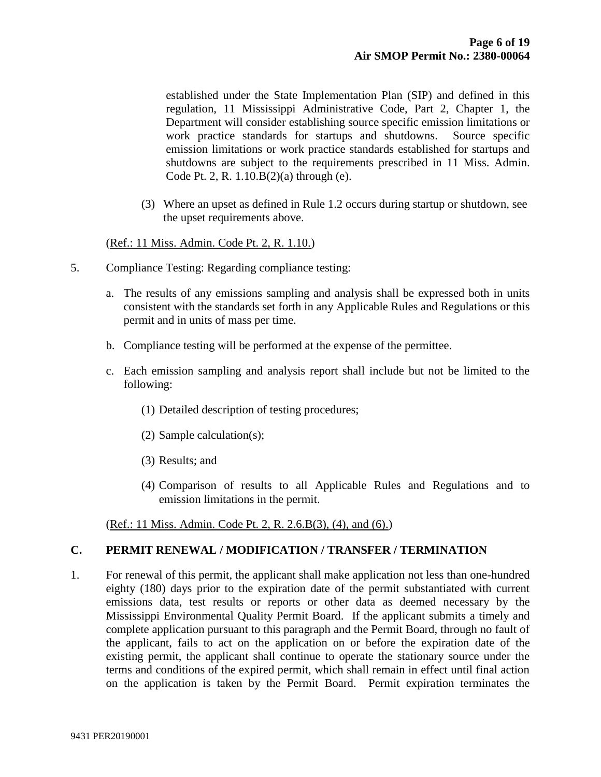established under the State Implementation Plan (SIP) and defined in this regulation, 11 Mississippi Administrative Code, Part 2, Chapter 1, the Department will consider establishing source specific emission limitations or work practice standards for startups and shutdowns. Source specific emission limitations or work practice standards established for startups and shutdowns are subject to the requirements prescribed in 11 Miss. Admin. Code Pt. 2, R. 1.10.B(2)(a) through (e).

(3) Where an upset as defined in Rule 1.2 occurs during startup or shutdown, see the upset requirements above.

#### (Ref.: 11 Miss. Admin. Code Pt. 2, R. 1.10.)

- 5. Compliance Testing: Regarding compliance testing:
	- a. The results of any emissions sampling and analysis shall be expressed both in units consistent with the standards set forth in any Applicable Rules and Regulations or this permit and in units of mass per time.
	- b. Compliance testing will be performed at the expense of the permittee.
	- c. Each emission sampling and analysis report shall include but not be limited to the following:
		- (1) Detailed description of testing procedures;
		- (2) Sample calculation(s);
		- (3) Results; and
		- (4) Comparison of results to all Applicable Rules and Regulations and to emission limitations in the permit.

(Ref.: 11 Miss. Admin. Code Pt. 2, R. 2.6.B(3), (4), and (6).)

#### **C. PERMIT RENEWAL / MODIFICATION / TRANSFER / TERMINATION**

1. For renewal of this permit, the applicant shall make application not less than one-hundred eighty (180) days prior to the expiration date of the permit substantiated with current emissions data, test results or reports or other data as deemed necessary by the Mississippi Environmental Quality Permit Board. If the applicant submits a timely and complete application pursuant to this paragraph and the Permit Board, through no fault of the applicant, fails to act on the application on or before the expiration date of the existing permit, the applicant shall continue to operate the stationary source under the terms and conditions of the expired permit, which shall remain in effect until final action on the application is taken by the Permit Board. Permit expiration terminates the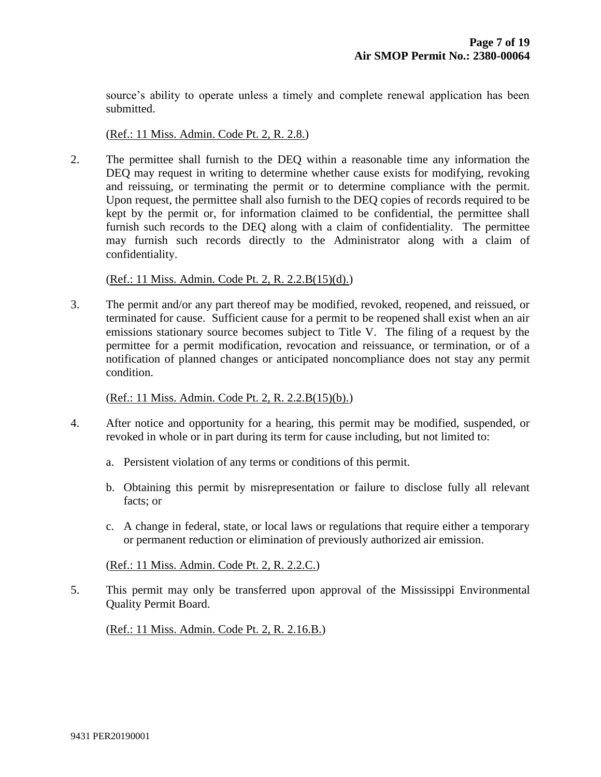source's ability to operate unless a timely and complete renewal application has been submitted.

(Ref.: 11 Miss. Admin. Code Pt. 2, R. 2.8.)

2. The permittee shall furnish to the DEQ within a reasonable time any information the DEQ may request in writing to determine whether cause exists for modifying, revoking and reissuing, or terminating the permit or to determine compliance with the permit. Upon request, the permittee shall also furnish to the DEQ copies of records required to be kept by the permit or, for information claimed to be confidential, the permittee shall furnish such records to the DEQ along with a claim of confidentiality. The permittee may furnish such records directly to the Administrator along with a claim of confidentiality.

(Ref.: 11 Miss. Admin. Code Pt. 2, R. 2.2.B(15)(d).)

3. The permit and/or any part thereof may be modified, revoked, reopened, and reissued, or terminated for cause. Sufficient cause for a permit to be reopened shall exist when an air emissions stationary source becomes subject to Title V. The filing of a request by the permittee for a permit modification, revocation and reissuance, or termination, or of a notification of planned changes or anticipated noncompliance does not stay any permit condition.

#### (Ref.: 11 Miss. Admin. Code Pt. 2, R. 2.2.B(15)(b).)

- 4. After notice and opportunity for a hearing, this permit may be modified, suspended, or revoked in whole or in part during its term for cause including, but not limited to:
	- a. Persistent violation of any terms or conditions of this permit.
	- b. Obtaining this permit by misrepresentation or failure to disclose fully all relevant facts; or
	- c. A change in federal, state, or local laws or regulations that require either a temporary or permanent reduction or elimination of previously authorized air emission.

(Ref.: 11 Miss. Admin. Code Pt. 2, R. 2.2.C.)

5. This permit may only be transferred upon approval of the Mississippi Environmental Quality Permit Board.

(Ref.: 11 Miss. Admin. Code Pt. 2, R. 2.16.B.)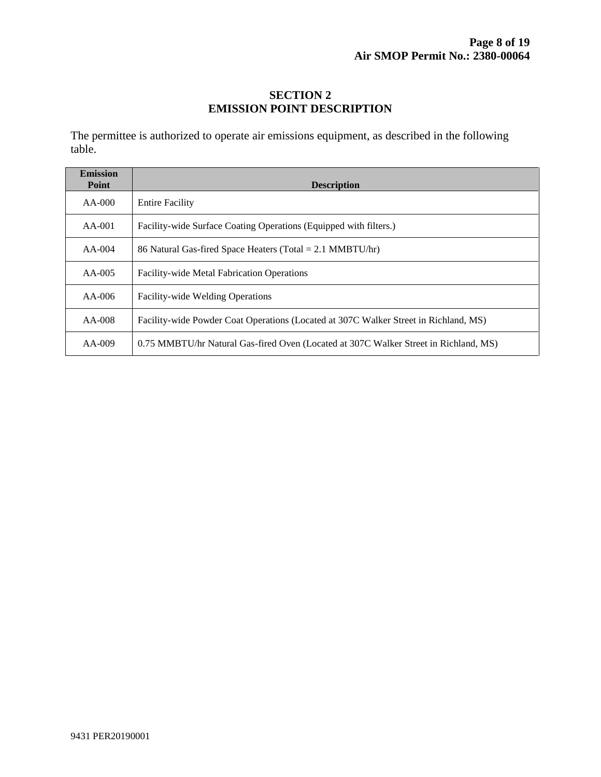## **SECTION 2 EMISSION POINT DESCRIPTION**

The permittee is authorized to operate air emissions equipment, as described in the following table.

| <b>Emission</b><br>Point | <b>Description</b>                                                                   |
|--------------------------|--------------------------------------------------------------------------------------|
| $AA-000$                 | <b>Entire Facility</b>                                                               |
| $AA-001$                 | Facility-wide Surface Coating Operations (Equipped with filters.)                    |
| $AA-004$                 | 86 Natural Gas-fired Space Heaters (Total = 2.1 MMBTU/hr)                            |
| $AA-005$                 | <b>Facility-wide Metal Fabrication Operations</b>                                    |
| $AA-006$                 | <b>Facility-wide Welding Operations</b>                                              |
| $AA-008$                 | Facility-wide Powder Coat Operations (Located at 307C Walker Street in Richland, MS) |
| $AA-009$                 | 0.75 MMBTU/hr Natural Gas-fired Oven (Located at 307C Walker Street in Richland, MS) |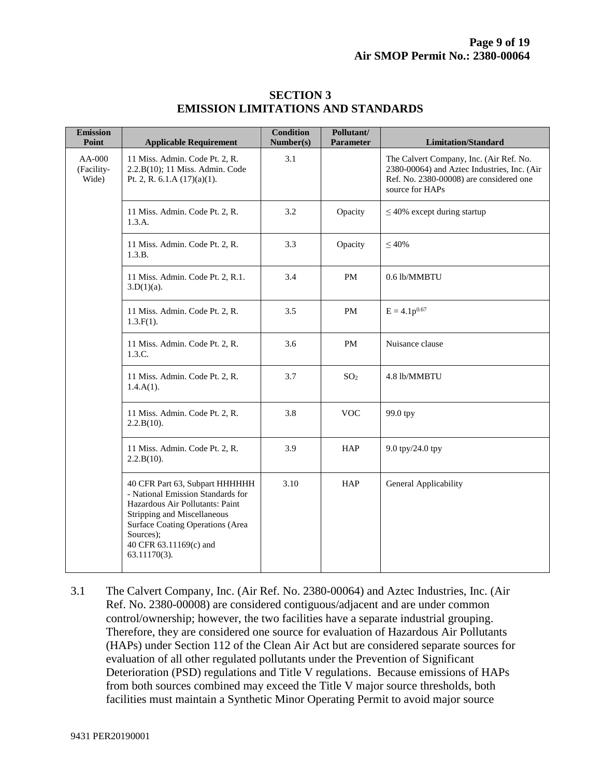| <b>Emission</b><br>Point        | <b>Applicable Requirement</b>                                                                                                                                                                                                    | <b>Condition</b><br>Number(s) | Pollutant/<br>Parameter | <b>Limitation/Standard</b>                                                                                                                           |
|---------------------------------|----------------------------------------------------------------------------------------------------------------------------------------------------------------------------------------------------------------------------------|-------------------------------|-------------------------|------------------------------------------------------------------------------------------------------------------------------------------------------|
| $AA-000$<br>(Facility-<br>Wide) | 11 Miss. Admin. Code Pt. 2, R.<br>2.2.B(10); 11 Miss. Admin. Code<br>Pt. 2, R. 6.1.A $(17)(a)(1)$ .                                                                                                                              | 3.1                           |                         | The Calvert Company, Inc. (Air Ref. No.<br>2380-00064) and Aztec Industries, Inc. (Air<br>Ref. No. 2380-00008) are considered one<br>source for HAPs |
|                                 | 11 Miss. Admin. Code Pt. 2, R.<br>1.3.A.                                                                                                                                                                                         | 3.2                           | Opacity                 | $\leq$ 40% except during startup                                                                                                                     |
|                                 | 11 Miss. Admin. Code Pt. 2, R.<br>1.3.B.                                                                                                                                                                                         | 3.3                           | Opacity                 | $\leq 40\%$                                                                                                                                          |
|                                 | 11 Miss. Admin. Code Pt. 2, R.1.<br>$3.D(1)(a)$ .                                                                                                                                                                                | 3.4                           | PM                      | 0.6 lb/MMBTU                                                                                                                                         |
|                                 | 11 Miss. Admin. Code Pt. 2, R.<br>$1.3.F(1)$ .                                                                                                                                                                                   | 3.5                           | PM                      | $E = 4.1p^{0.67}$                                                                                                                                    |
|                                 | 11 Miss. Admin. Code Pt. 2, R.<br>1.3.C.                                                                                                                                                                                         | 3.6                           | <b>PM</b>               | Nuisance clause                                                                                                                                      |
|                                 | 11 Miss. Admin. Code Pt. 2, R.<br>$1.4.A(1)$ .                                                                                                                                                                                   | 3.7                           | SO <sub>2</sub>         | 4.8 lb/MMBTU                                                                                                                                         |
|                                 | 11 Miss. Admin. Code Pt. 2, R.<br>2.2.B(10).                                                                                                                                                                                     | 3.8                           | <b>VOC</b>              | 99.0 tpy                                                                                                                                             |
|                                 | 11 Miss. Admin. Code Pt. 2, R.<br>2.2.B(10).                                                                                                                                                                                     | 3.9                           | <b>HAP</b>              | 9.0 tpy/24.0 tpy                                                                                                                                     |
|                                 | 40 CFR Part 63, Subpart HHHHHH<br>- National Emission Standards for<br>Hazardous Air Pollutants: Paint<br>Stripping and Miscellaneous<br>Surface Coating Operations (Area<br>Sources);<br>40 CFR 63.11169(c) and<br>63.11170(3). | 3.10                          | <b>HAP</b>              | General Applicability                                                                                                                                |

#### **SECTION 3 EMISSION LIMITATIONS AND STANDARDS**

3.1 The Calvert Company, Inc. (Air Ref. No. 2380-00064) and Aztec Industries, Inc. (Air Ref. No. 2380-00008) are considered contiguous/adjacent and are under common control/ownership; however, the two facilities have a separate industrial grouping. Therefore, they are considered one source for evaluation of Hazardous Air Pollutants (HAPs) under Section 112 of the Clean Air Act but are considered separate sources for evaluation of all other regulated pollutants under the Prevention of Significant Deterioration (PSD) regulations and Title V regulations. Because emissions of HAPs from both sources combined may exceed the Title V major source thresholds, both facilities must maintain a Synthetic Minor Operating Permit to avoid major source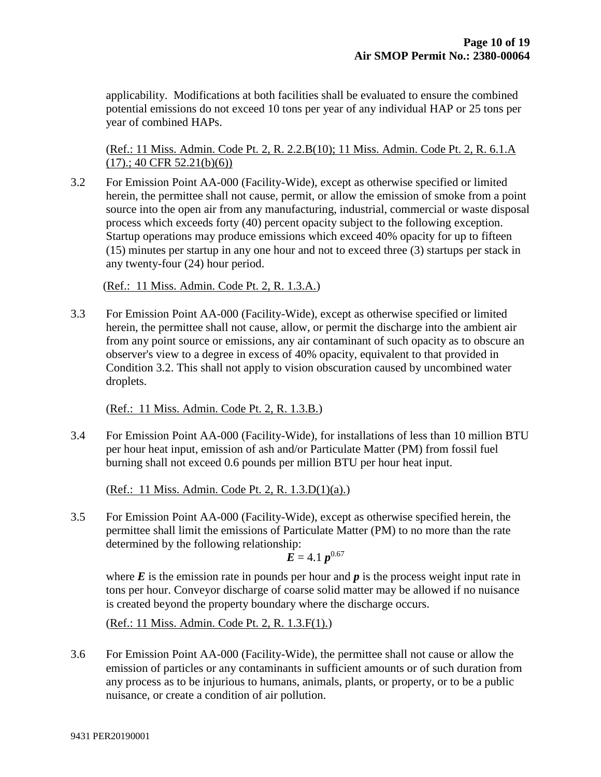applicability. Modifications at both facilities shall be evaluated to ensure the combined potential emissions do not exceed 10 tons per year of any individual HAP or 25 tons per year of combined HAPs.

(Ref.: 11 Miss. Admin. Code Pt. 2, R. 2.2.B(10); 11 Miss. Admin. Code Pt. 2, R. 6.1.A  $(17)$ .; 40 CFR 52.21(b)(6))

3.2 For Emission Point AA-000 (Facility-Wide), except as otherwise specified or limited herein, the permittee shall not cause, permit, or allow the emission of smoke from a point source into the open air from any manufacturing, industrial, commercial or waste disposal process which exceeds forty (40) percent opacity subject to the following exception. Startup operations may produce emissions which exceed 40% opacity for up to fifteen (15) minutes per startup in any one hour and not to exceed three (3) startups per stack in any twenty-four (24) hour period.

(Ref.: 11 Miss. Admin. Code Pt. 2, R. 1.3.A.)

3.3 For Emission Point AA-000 (Facility-Wide), except as otherwise specified or limited herein, the permittee shall not cause, allow, or permit the discharge into the ambient air from any point source or emissions, any air contaminant of such opacity as to obscure an observer's view to a degree in excess of 40% opacity, equivalent to that provided in Condition 3.2. This shall not apply to vision obscuration caused by uncombined water droplets.

(Ref.: 11 Miss. Admin. Code Pt. 2, R. 1.3.B.)

3.4 For Emission Point AA-000 (Facility-Wide), for installations of less than 10 million BTU per hour heat input, emission of ash and/or Particulate Matter (PM) from fossil fuel burning shall not exceed 0.6 pounds per million BTU per hour heat input.

(Ref.: 11 Miss. Admin. Code Pt. 2, R. 1.3.D(1)(a).)

3.5 For Emission Point AA-000 (Facility-Wide), except as otherwise specified herein, the permittee shall limit the emissions of Particulate Matter (PM) to no more than the rate determined by the following relationship:

$$
E = 4.1 p^{0.67}
$$

where  $E$  is the emission rate in pounds per hour and  $p$  is the process weight input rate in tons per hour. Conveyor discharge of coarse solid matter may be allowed if no nuisance is created beyond the property boundary where the discharge occurs.

(Ref.: 11 Miss. Admin. Code Pt. 2, R. 1.3.F(1).)

3.6 For Emission Point AA-000 (Facility-Wide), the permittee shall not cause or allow the emission of particles or any contaminants in sufficient amounts or of such duration from any process as to be injurious to humans, animals, plants, or property, or to be a public nuisance, or create a condition of air pollution.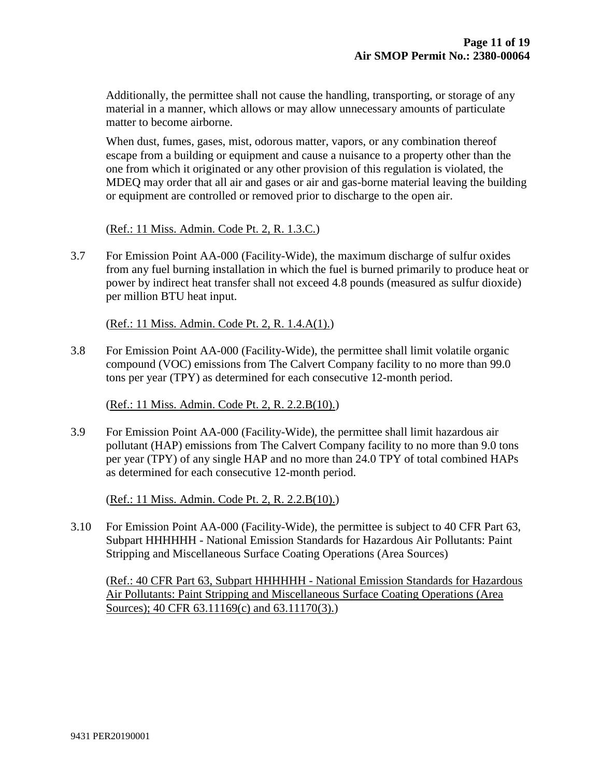Additionally, the permittee shall not cause the handling, transporting, or storage of any material in a manner, which allows or may allow unnecessary amounts of particulate matter to become airborne.

When dust, fumes, gases, mist, odorous matter, vapors, or any combination thereof escape from a building or equipment and cause a nuisance to a property other than the one from which it originated or any other provision of this regulation is violated, the MDEQ may order that all air and gases or air and gas-borne material leaving the building or equipment are controlled or removed prior to discharge to the open air.

(Ref.: 11 Miss. Admin. Code Pt. 2, R. 1.3.C.)

3.7 For Emission Point AA-000 (Facility-Wide), the maximum discharge of sulfur oxides from any fuel burning installation in which the fuel is burned primarily to produce heat or power by indirect heat transfer shall not exceed 4.8 pounds (measured as sulfur dioxide) per million BTU heat input.

(Ref.: 11 Miss. Admin. Code Pt. 2, R. 1.4.A(1).)

3.8 For Emission Point AA-000 (Facility-Wide), the permittee shall limit volatile organic compound (VOC) emissions from The Calvert Company facility to no more than 99.0 tons per year (TPY) as determined for each consecutive 12-month period.

(Ref.: 11 Miss. Admin. Code Pt. 2, R. 2.2.B(10).)

3.9 For Emission Point AA-000 (Facility-Wide), the permittee shall limit hazardous air pollutant (HAP) emissions from The Calvert Company facility to no more than 9.0 tons per year (TPY) of any single HAP and no more than 24.0 TPY of total combined HAPs as determined for each consecutive 12-month period.

(Ref.: 11 Miss. Admin. Code Pt. 2, R. 2.2.B(10).)

3.10 For Emission Point AA-000 (Facility-Wide), the permittee is subject to 40 CFR Part 63, Subpart HHHHHH - National Emission Standards for Hazardous Air Pollutants: Paint Stripping and Miscellaneous Surface Coating Operations (Area Sources)

(Ref.: 40 CFR Part 63, Subpart HHHHHH - National Emission Standards for Hazardous Air Pollutants: Paint Stripping and Miscellaneous Surface Coating Operations (Area Sources); 40 CFR 63.11169(c) and 63.11170(3).)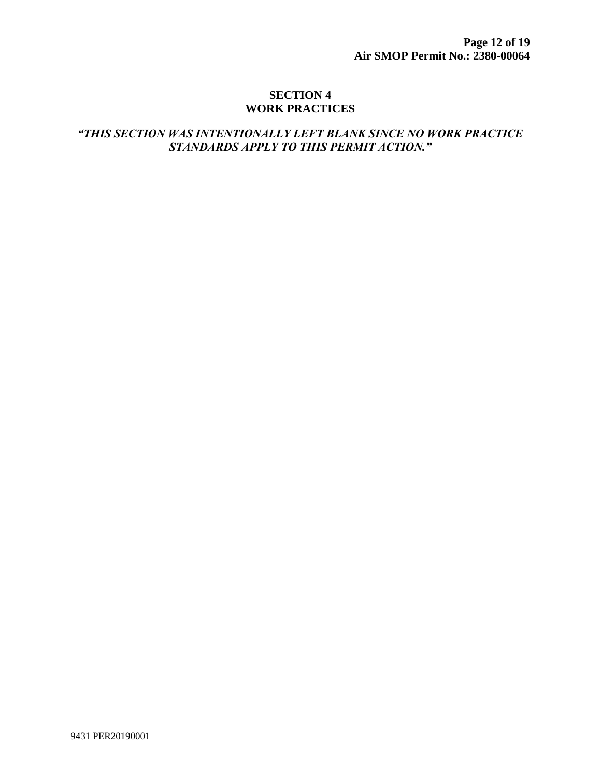#### **SECTION 4 WORK PRACTICES**

### *"THIS SECTION WAS INTENTIONALLY LEFT BLANK SINCE NO WORK PRACTICE STANDARDS APPLY TO THIS PERMIT ACTION."*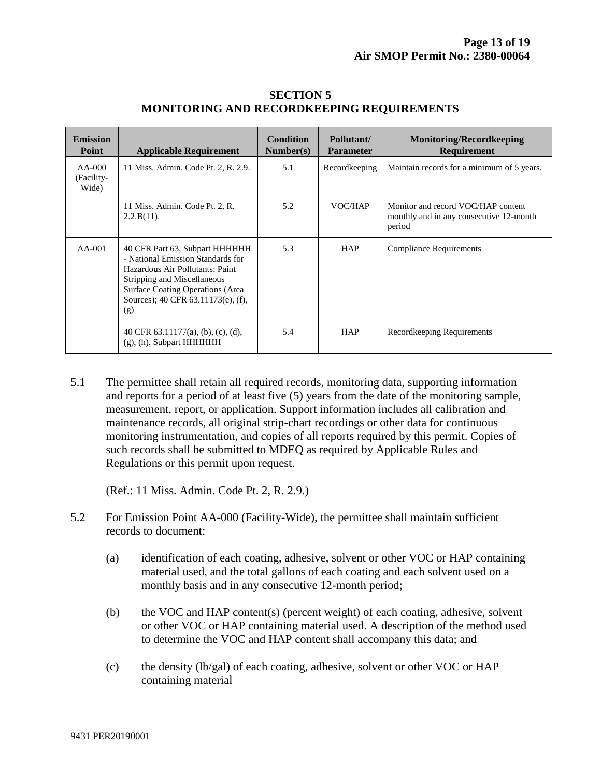| <b>Emission</b><br>Point        | <b>Applicable Requirement</b>                                                                                                                                                                                                 | <b>Condition</b><br>Number(s) | Pollutant/<br><b>Parameter</b> | <b>Monitoring/Recordkeeping</b><br><b>Requirement</b>                                   |
|---------------------------------|-------------------------------------------------------------------------------------------------------------------------------------------------------------------------------------------------------------------------------|-------------------------------|--------------------------------|-----------------------------------------------------------------------------------------|
| $AA-000$<br>(Facility-<br>Wide) | 11 Miss. Admin. Code Pt. 2, R. 2.9.                                                                                                                                                                                           | 5.1                           | Recordkeeping                  | Maintain records for a minimum of 5 years.                                              |
|                                 | 11 Miss. Admin. Code Pt. 2, R.<br>$2.2.B(11)$ .                                                                                                                                                                               | 5.2                           | VOC/HAP                        | Monitor and record VOC/HAP content<br>monthly and in any consecutive 12-month<br>period |
| $AA-001$                        | 40 CFR Part 63, Subpart HHHHHH<br>- National Emission Standards for<br>Hazardous Air Pollutants: Paint<br>Stripping and Miscellaneous<br><b>Surface Coating Operations (Area</b><br>Sources); 40 CFR 63.11173(e), (f),<br>(g) | 5.3                           | <b>HAP</b>                     | <b>Compliance Requirements</b>                                                          |
|                                 | 40 CFR $63.11177(a)$ , (b), (c), (d),<br>$(g)$ , (h), Subpart HHHHHH                                                                                                                                                          | 5.4                           | <b>HAP</b>                     | Record keeping Requirements                                                             |

#### **SECTION 5 MONITORING AND RECORDKEEPING REQUIREMENTS**

5.1 The permittee shall retain all required records, monitoring data, supporting information and reports for a period of at least five (5) years from the date of the monitoring sample, measurement, report, or application. Support information includes all calibration and maintenance records, all original strip-chart recordings or other data for continuous monitoring instrumentation, and copies of all reports required by this permit. Copies of such records shall be submitted to MDEQ as required by Applicable Rules and Regulations or this permit upon request.

(Ref.: 11 Miss. Admin. Code Pt. 2, R. 2.9.)

- 5.2 For Emission Point AA-000 (Facility-Wide), the permittee shall maintain sufficient records to document:
	- (a) identification of each coating, adhesive, solvent or other VOC or HAP containing material used, and the total gallons of each coating and each solvent used on a monthly basis and in any consecutive 12-month period;
	- (b) the VOC and HAP content(s) (percent weight) of each coating, adhesive, solvent or other VOC or HAP containing material used. A description of the method used to determine the VOC and HAP content shall accompany this data; and
	- (c) the density  $(lb/ga)$  of each coating, adhesive, solvent or other VOC or HAP containing material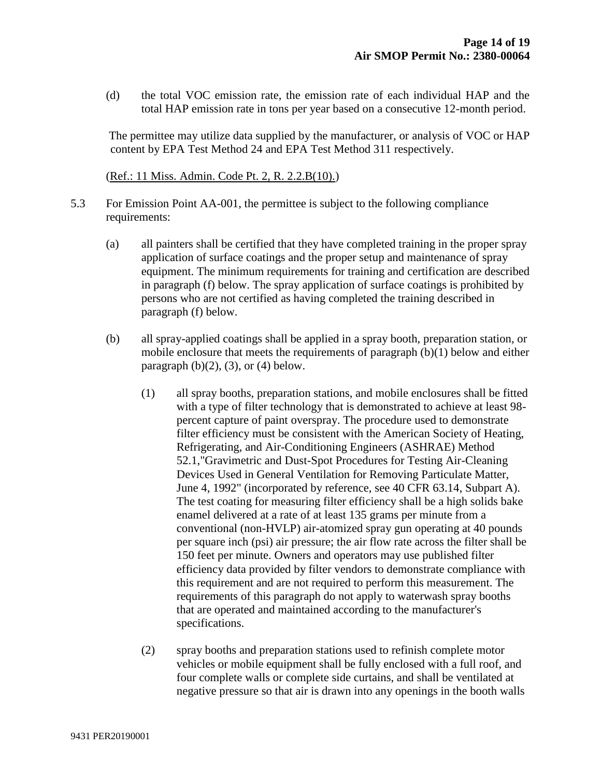(d) the total VOC emission rate, the emission rate of each individual HAP and the total HAP emission rate in tons per year based on a consecutive 12-month period.

The permittee may utilize data supplied by the manufacturer, or analysis of VOC or HAP content by EPA Test Method 24 and EPA Test Method 311 respectively.

(Ref.: 11 Miss. Admin. Code Pt. 2, R. 2.2.B(10).)

- 5.3 For Emission Point AA-001, the permittee is subject to the following compliance requirements:
	- (a) all painters shall be certified that they have completed training in the proper spray application of surface coatings and the proper setup and maintenance of spray equipment. The minimum requirements for training and certification are described in paragraph (f) below. The spray application of surface coatings is prohibited by persons who are not certified as having completed the training described in paragraph (f) below.
	- (b) all spray-applied coatings shall be applied in a spray booth, preparation station, or mobile enclosure that meets the requirements of paragraph (b)(1) below and either paragraph  $(b)(2)$ ,  $(3)$ , or  $(4)$  below.
		- (1) all spray booths, preparation stations, and mobile enclosures shall be fitted with a type of filter technology that is demonstrated to achieve at least 98 percent capture of paint overspray. The procedure used to demonstrate filter efficiency must be consistent with the American Society of Heating, Refrigerating, and Air-Conditioning Engineers (ASHRAE) Method 52.1,"Gravimetric and Dust-Spot Procedures for Testing Air-Cleaning Devices Used in General Ventilation for Removing Particulate Matter, June 4, 1992" (incorporated by reference, see 40 CFR 63.14, Subpart A). The test coating for measuring filter efficiency shall be a high solids bake enamel delivered at a rate of at least 135 grams per minute from a conventional (non-HVLP) air-atomized spray gun operating at 40 pounds per square inch (psi) air pressure; the air flow rate across the filter shall be 150 feet per minute. Owners and operators may use published filter efficiency data provided by filter vendors to demonstrate compliance with this requirement and are not required to perform this measurement. The requirements of this paragraph do not apply to waterwash spray booths that are operated and maintained according to the manufacturer's specifications.
		- (2) spray booths and preparation stations used to refinish complete motor vehicles or mobile equipment shall be fully enclosed with a full roof, and four complete walls or complete side curtains, and shall be ventilated at negative pressure so that air is drawn into any openings in the booth walls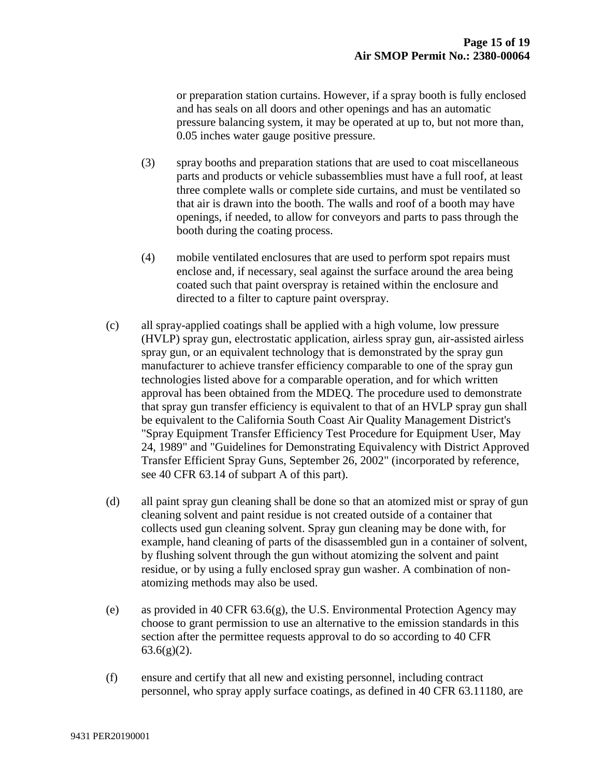or preparation station curtains. However, if a spray booth is fully enclosed and has seals on all doors and other openings and has an automatic pressure balancing system, it may be operated at up to, but not more than, 0.05 inches water gauge positive pressure.

- (3) spray booths and preparation stations that are used to coat miscellaneous parts and products or vehicle subassemblies must have a full roof, at least three complete walls or complete side curtains, and must be ventilated so that air is drawn into the booth. The walls and roof of a booth may have openings, if needed, to allow for conveyors and parts to pass through the booth during the coating process.
- (4) mobile ventilated enclosures that are used to perform spot repairs must enclose and, if necessary, seal against the surface around the area being coated such that paint overspray is retained within the enclosure and directed to a filter to capture paint overspray.
- (c) all spray-applied coatings shall be applied with a high volume, low pressure (HVLP) spray gun, electrostatic application, airless spray gun, air-assisted airless spray gun, or an equivalent technology that is demonstrated by the spray gun manufacturer to achieve transfer efficiency comparable to one of the spray gun technologies listed above for a comparable operation, and for which written approval has been obtained from the MDEQ. The procedure used to demonstrate that spray gun transfer efficiency is equivalent to that of an HVLP spray gun shall be equivalent to the California South Coast Air Quality Management District's "Spray Equipment Transfer Efficiency Test Procedure for Equipment User, May 24, 1989" and "Guidelines for Demonstrating Equivalency with District Approved Transfer Efficient Spray Guns, September 26, 2002" (incorporated by reference, see 40 CFR 63.14 of subpart A of this part).
- (d) all paint spray gun cleaning shall be done so that an atomized mist or spray of gun cleaning solvent and paint residue is not created outside of a container that collects used gun cleaning solvent. Spray gun cleaning may be done with, for example, hand cleaning of parts of the disassembled gun in a container of solvent, by flushing solvent through the gun without atomizing the solvent and paint residue, or by using a fully enclosed spray gun washer. A combination of nonatomizing methods may also be used.
- (e) as provided in 40 CFR 63.6(g), the U.S. Environmental Protection Agency may choose to grant permission to use an alternative to the emission standards in this section after the permittee requests approval to do so according to 40 CFR  $63.6(g)(2)$ .
- (f) ensure and certify that all new and existing personnel, including contract personnel, who spray apply surface coatings, as defined in 40 CFR 63.11180, are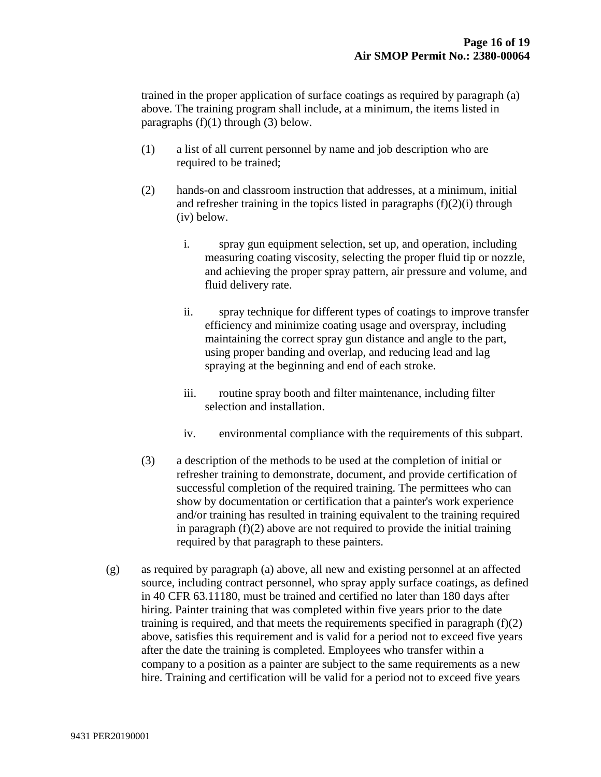trained in the proper application of surface coatings as required by paragraph (a) above. The training program shall include, at a minimum, the items listed in paragraphs  $(f)(1)$  through  $(3)$  below.

- (1) a list of all current personnel by name and job description who are required to be trained;
- (2) hands-on and classroom instruction that addresses, at a minimum, initial and refresher training in the topics listed in paragraphs  $(f)(2)(i)$  through (iv) below.
	- i. spray gun equipment selection, set up, and operation, including measuring coating viscosity, selecting the proper fluid tip or nozzle, and achieving the proper spray pattern, air pressure and volume, and fluid delivery rate.
	- ii. spray technique for different types of coatings to improve transfer efficiency and minimize coating usage and overspray, including maintaining the correct spray gun distance and angle to the part, using proper banding and overlap, and reducing lead and lag spraying at the beginning and end of each stroke.
	- iii. routine spray booth and filter maintenance, including filter selection and installation.
	- iv. environmental compliance with the requirements of this subpart.
- (3) a description of the methods to be used at the completion of initial or refresher training to demonstrate, document, and provide certification of successful completion of the required training. The permittees who can show by documentation or certification that a painter's work experience and/or training has resulted in training equivalent to the training required in paragraph  $(f)(2)$  above are not required to provide the initial training required by that paragraph to these painters.
- (g) as required by paragraph (a) above, all new and existing personnel at an affected source, including contract personnel, who spray apply surface coatings, as defined in 40 CFR 63.11180, must be trained and certified no later than 180 days after hiring. Painter training that was completed within five years prior to the date training is required, and that meets the requirements specified in paragraph  $(f)(2)$ above, satisfies this requirement and is valid for a period not to exceed five years after the date the training is completed. Employees who transfer within a company to a position as a painter are subject to the same requirements as a new hire. Training and certification will be valid for a period not to exceed five years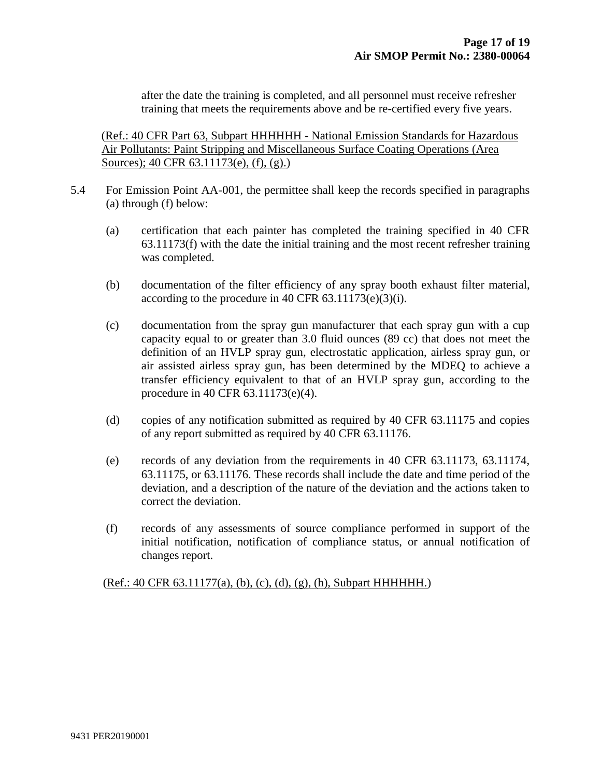after the date the training is completed, and all personnel must receive refresher training that meets the requirements above and be re-certified every five years.

 (Ref.: 40 CFR Part 63, Subpart HHHHHH - National Emission Standards for Hazardous Air Pollutants: Paint Stripping and Miscellaneous Surface Coating Operations (Area Sources); 40 CFR 63.11173(e), (f), (g).)

- 5.4 For Emission Point AA-001, the permittee shall keep the records specified in paragraphs (a) through (f) below:
	- (a) certification that each painter has completed the training specified in 40 CFR 63.11173(f) with the date the initial training and the most recent refresher training was completed.
	- (b) documentation of the filter efficiency of any spray booth exhaust filter material, according to the procedure in 40 CFR  $63.11173(e)(3)(i)$ .
	- (c) documentation from the spray gun manufacturer that each spray gun with a cup capacity equal to or greater than 3.0 fluid ounces (89 cc) that does not meet the definition of an HVLP spray gun, electrostatic application, airless spray gun, or air assisted airless spray gun, has been determined by the MDEQ to achieve a transfer efficiency equivalent to that of an HVLP spray gun, according to the procedure in 40 CFR 63.11173(e)(4).
	- (d) copies of any notification submitted as required by 40 CFR 63.11175 and copies of any report submitted as required by 40 CFR 63.11176.
	- (e) records of any deviation from the requirements in 40 CFR 63.11173, 63.11174, 63.11175, or 63.11176. These records shall include the date and time period of the deviation, and a description of the nature of the deviation and the actions taken to correct the deviation.
	- (f) records of any assessments of source compliance performed in support of the initial notification, notification of compliance status, or annual notification of changes report.

(Ref.: 40 CFR 63.11177(a), (b), (c), (d), (g), (h), Subpart HHHHHH.)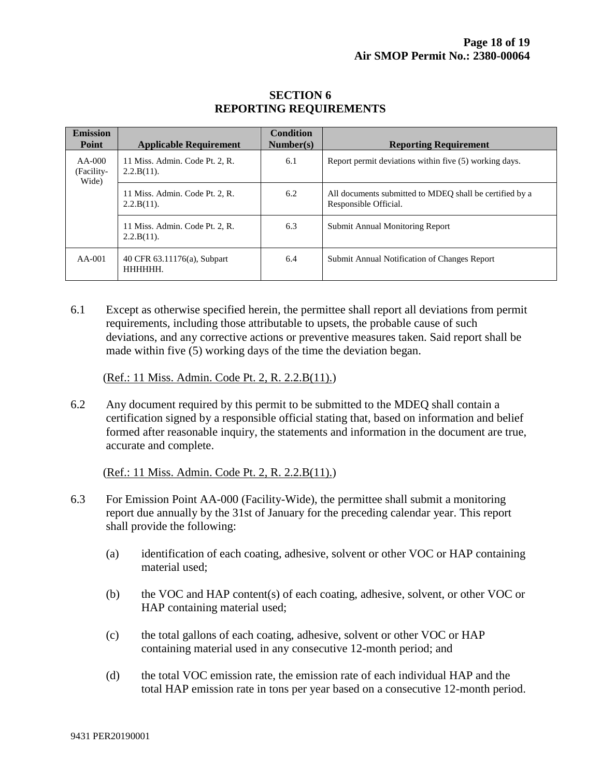| <b>Emission</b><br>Point        | <b>Applicable Requirement</b>                   | <b>Condition</b><br>Number(s) | <b>Reporting Requirement</b>                                                     |
|---------------------------------|-------------------------------------------------|-------------------------------|----------------------------------------------------------------------------------|
| $AA-000$<br>(Facility-<br>Wide) | 11 Miss. Admin. Code Pt. 2, R.<br>$2.2.B(11)$ . | 6.1                           | Report permit deviations within five (5) working days.                           |
|                                 | 11 Miss. Admin. Code Pt. 2, R.<br>$2.2.B(11)$ . | 6.2                           | All documents submitted to MDEO shall be certified by a<br>Responsible Official. |
|                                 | 11 Miss. Admin. Code Pt. 2, R.<br>$2.2.B(11)$ . | 6.3                           | Submit Annual Monitoring Report                                                  |
| $AA-001$                        | 40 CFR 63.11176(a), Subpart<br>HHHHHH.          | 6.4                           | Submit Annual Notification of Changes Report                                     |

#### **SECTION 6 REPORTING REQUIREMENTS**

6.1 Except as otherwise specified herein, the permittee shall report all deviations from permit requirements, including those attributable to upsets, the probable cause of such deviations, and any corrective actions or preventive measures taken. Said report shall be made within five (5) working days of the time the deviation began.

(Ref.: 11 Miss. Admin. Code Pt. 2, R. 2.2.B(11).)

6.2 Any document required by this permit to be submitted to the MDEQ shall contain a certification signed by a responsible official stating that, based on information and belief formed after reasonable inquiry, the statements and information in the document are true, accurate and complete.

(Ref.: 11 Miss. Admin. Code Pt. 2, R. 2.2.B(11).)

- 6.3 For Emission Point AA-000 (Facility-Wide), the permittee shall submit a monitoring report due annually by the 31st of January for the preceding calendar year. This report shall provide the following:
	- (a) identification of each coating, adhesive, solvent or other VOC or HAP containing material used;
	- (b) the VOC and HAP content(s) of each coating, adhesive, solvent, or other VOC or HAP containing material used;
	- (c) the total gallons of each coating, adhesive, solvent or other VOC or HAP containing material used in any consecutive 12-month period; and
	- (d) the total VOC emission rate, the emission rate of each individual HAP and the total HAP emission rate in tons per year based on a consecutive 12-month period.